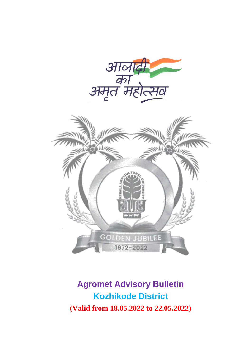

## **Agromet Advisory Bulletin Kozhikode District (Valid from 18.05.2022 to 22.05.2022)**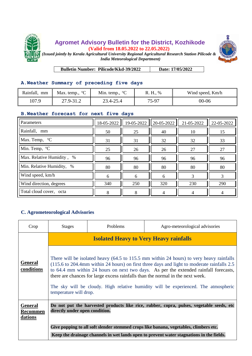



**Bulletin Number: Pilicode/Kkd-39/2022 Date: 17/05/2022**

## **A.Weather Summary of preceding five days**

| Rainfall,<br>mm | Max. temp., $^{\circ}C$ | Min. temp., $^{\circ}C$ | R. H., % | Wind speed, Km/h |
|-----------------|-------------------------|-------------------------|----------|------------------|
| 107.9           | 27.9-31.2               | 23.4-25.4               | 75-97    | $00 - 06$        |

## **B.Weather forecast for next five days**

| Parameters                             | 18-05-2022 | 19-05-2022 | 20-05-2022 | 21-05-2022 | 22-05-2022 |
|----------------------------------------|------------|------------|------------|------------|------------|
| Rainfall, mm                           | 50         | 25         | 40         | 10         | 15         |
| $\sqrt{\text{Max.}}$ Temp, $\degree$ C | 31         | 31         | 32         | 32         | 33         |
| Min. Temp, °C                          | 25         | 26         | 26         | 27         | 27         |
| Max. Relative Humidity, %              | 96         | 96         | 96         | 96         | 96         |
| Min. Relative Humidity, %              | 80         | 80         | 80         | 80         | 80         |
| Wind speed, km/h                       | 6          | 6          | 6          |            |            |
| Wind direction, degrees                | 340        | 250        | 320        | 230        | 290        |
| Total cloud cover, octa                | 8          | 8          |            |            |            |

## **C. Agrometeorological Advisories**

| Crop                                         | <b>Stages</b>                                                                                                                                                                                                                                                                                                                                                                                                                                                                                                                     | Problems | Agro-meteorological advisories |  |  |
|----------------------------------------------|-----------------------------------------------------------------------------------------------------------------------------------------------------------------------------------------------------------------------------------------------------------------------------------------------------------------------------------------------------------------------------------------------------------------------------------------------------------------------------------------------------------------------------------|----------|--------------------------------|--|--|
|                                              | <b>Isolated Heavy to Very Heavy rainfalls</b><br>There will be isolated heavy (64.5 to 115.5 mm within 24 hours) to very heavy rainfalls<br>(115.6 to 204.4mm within 24 hours) on first three days and light to moderate rainfalls 2.5<br>to 64.4 mm within 24 hours on next two days. As per the extended rainfall forecasts,<br>there are chances for large excess rainfalls than the normal in the next week.<br>The sky will be cloudy. High relative humidity will be experienced. The atmospheric<br>temperature will drop. |          |                                |  |  |
| <b>General</b><br>conditions                 |                                                                                                                                                                                                                                                                                                                                                                                                                                                                                                                                   |          |                                |  |  |
| <b>General</b><br><b>Recommen</b><br>dations | Do not put the harvested products like rice, rubber, copra, pulses, vegetable seeds, etc<br>directly under open condition.                                                                                                                                                                                                                                                                                                                                                                                                        |          |                                |  |  |
|                                              | Give popping to all soft slender stemmed crops like banana, vegetables, climbers etc.                                                                                                                                                                                                                                                                                                                                                                                                                                             |          |                                |  |  |
|                                              | Keep the drainage channels in wet lands open to prevent water stagnations in the fields.                                                                                                                                                                                                                                                                                                                                                                                                                                          |          |                                |  |  |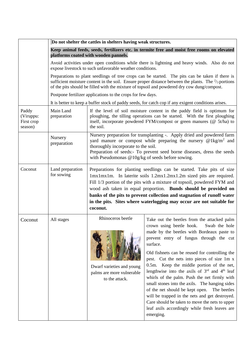|                                             | Do not shelter the cattles in shelters having weak structures.<br>Keep animal feeds, seeds, fertilizers etc. in termite free and moist free rooms on elevated<br>platforms coated with wooden pannels.                                                                                                           |                                                                                                                                                                                                                                                                                                                                                                                                                                                           |                                                                                                                                                                                                                                                                                                                                                                                                                                                                                                                                                                                                                                                                                                                 |  |
|---------------------------------------------|------------------------------------------------------------------------------------------------------------------------------------------------------------------------------------------------------------------------------------------------------------------------------------------------------------------|-----------------------------------------------------------------------------------------------------------------------------------------------------------------------------------------------------------------------------------------------------------------------------------------------------------------------------------------------------------------------------------------------------------------------------------------------------------|-----------------------------------------------------------------------------------------------------------------------------------------------------------------------------------------------------------------------------------------------------------------------------------------------------------------------------------------------------------------------------------------------------------------------------------------------------------------------------------------------------------------------------------------------------------------------------------------------------------------------------------------------------------------------------------------------------------------|--|
|                                             |                                                                                                                                                                                                                                                                                                                  |                                                                                                                                                                                                                                                                                                                                                                                                                                                           |                                                                                                                                                                                                                                                                                                                                                                                                                                                                                                                                                                                                                                                                                                                 |  |
|                                             |                                                                                                                                                                                                                                                                                                                  |                                                                                                                                                                                                                                                                                                                                                                                                                                                           |                                                                                                                                                                                                                                                                                                                                                                                                                                                                                                                                                                                                                                                                                                                 |  |
|                                             | Avoid activities under open conditions while there is lightning and heavy winds. Also do not<br>expose livestock to such unfavorable weather conditions.                                                                                                                                                         |                                                                                                                                                                                                                                                                                                                                                                                                                                                           |                                                                                                                                                                                                                                                                                                                                                                                                                                                                                                                                                                                                                                                                                                                 |  |
|                                             | Preparations to plant seedlings of tree crops can be started. The pits can be taken if there is<br>sufficient moisture content in the soil. Ensure proper distance between the plants. The $\frac{2}{3}$ portions<br>of the pits should be filled with the mixture of topsoil and powdered dry cow dung/compost. |                                                                                                                                                                                                                                                                                                                                                                                                                                                           |                                                                                                                                                                                                                                                                                                                                                                                                                                                                                                                                                                                                                                                                                                                 |  |
|                                             |                                                                                                                                                                                                                                                                                                                  | Postpone fertilizer applications to the crops for few days.                                                                                                                                                                                                                                                                                                                                                                                               |                                                                                                                                                                                                                                                                                                                                                                                                                                                                                                                                                                                                                                                                                                                 |  |
|                                             |                                                                                                                                                                                                                                                                                                                  | It is better to keep a buffer stock of paddy seeds, for catch cop if any exigent conditions arises.                                                                                                                                                                                                                                                                                                                                                       |                                                                                                                                                                                                                                                                                                                                                                                                                                                                                                                                                                                                                                                                                                                 |  |
| Paddy<br>(Viruppu:<br>First crop<br>season) | Main Land<br>preparation                                                                                                                                                                                                                                                                                         | If the level of soil moisture content in the paddy field is optimum for<br>ploughing, the tilling operations can be started. With the first ploughing<br>itself, incorporate powdered FYM/compost or green manures (@ 5t/ha) to<br>the soil.                                                                                                                                                                                                              |                                                                                                                                                                                                                                                                                                                                                                                                                                                                                                                                                                                                                                                                                                                 |  |
|                                             | Nursery<br>preparation                                                                                                                                                                                                                                                                                           | Nursery preparation for transplanting -. Apply dried and powdered farm<br>yard manure or compost while preparing the nursery $@1kg/m^2$ and<br>thoroughly incorporate to the soil.<br>Preparation of seeds:- To prevent seed borne diseases, dress the seeds<br>with Pseudomonas $@10g/kg$ of seeds before sowing.                                                                                                                                        |                                                                                                                                                                                                                                                                                                                                                                                                                                                                                                                                                                                                                                                                                                                 |  |
| Coconut                                     | Land preparation<br>for sowing                                                                                                                                                                                                                                                                                   | Preparations for planting seedlings can be started. Take pits of size<br>1mx1mx1m. In laterite soils 1.2mx1.2mx1.2m sized pits are required.<br>Fill 1/3 portion of the pits with a mixture of topsoil, powdered FYM and<br>wood ash taken in equal proportion. Bunds should be provided on<br>banks of the pits to prevent collection and stagnation of runoff water<br>in the pits. Sites where waterlogging may occur are not suitable for<br>coconut. |                                                                                                                                                                                                                                                                                                                                                                                                                                                                                                                                                                                                                                                                                                                 |  |
| Coconut                                     | All stages                                                                                                                                                                                                                                                                                                       | Rhinoceros beetle<br>Dwarf varieties and young<br>palms are more vulnerable<br>to the attack.                                                                                                                                                                                                                                                                                                                                                             | Take out the beetles from the attacked palm<br>crown using beetle hook. Swab the hole<br>made by the beetles with Bordeaux paste to<br>prevent entry of fungus through the cut<br>surface.<br>Old fishnets can be reused for controlling the<br>pest. Cut the nets into pieces of size 1m x<br>0.5m. Keep the middle portion of the net,<br>lengthwise into the axils of 3rd and 4th leaf<br>whirls of the palm. Push the net firmly with<br>small stones into the axils. The hanging sides<br>of the net should be kept open.<br>The beetles<br>will be trapped in the nets and get destroyed.<br>Care should be taken to move the nets to upper<br>leaf axils accordingly while fresh leaves are<br>emerging. |  |